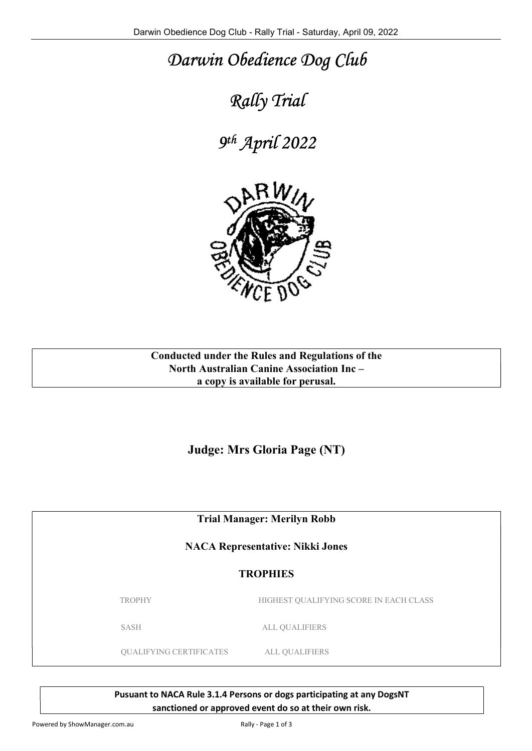## Darwin Obedience Dog Club

## Rally Trial

9 th April 2022



Conducted under the Rules and Regulations of the North Australian Canine Association Inc – a copy is available for perusal.

Judge: Mrs Gloria Page (NT)

Trial Manager: Merilyn Robb

NACA Representative: Nikki Jones

## **TROPHIES**

TROPHY HIGHEST QUALIFYING SCORE IN EACH CLASS

SASH ALL QUALIFIERS

QUALIFYING CERTIFICATES ALL QUALIFIERS

Pusuant to NACA Rule 3.1.4 Persons or dogs participating at any DogsNT sanctioned or approved event do so at their own risk.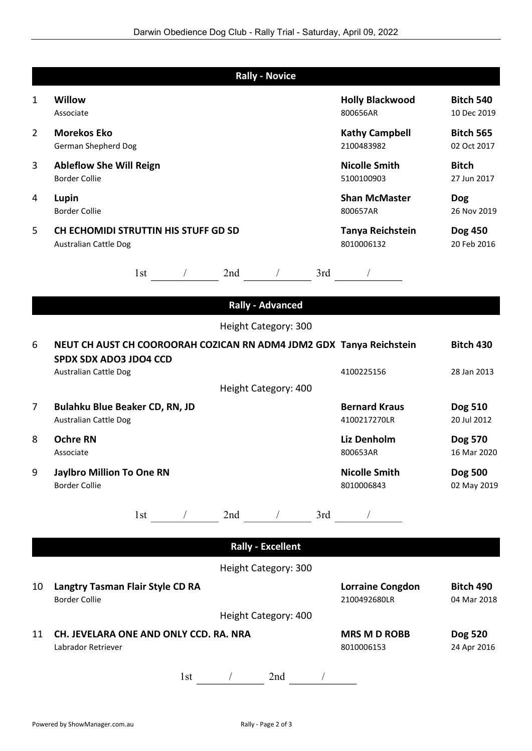|                | <b>Rally - Novice</b>                                                |                                         |                                 |
|----------------|----------------------------------------------------------------------|-----------------------------------------|---------------------------------|
| 1              | Willow<br>Associate                                                  | <b>Holly Blackwood</b><br>800656AR      | <b>Bitch 540</b><br>10 Dec 2019 |
| $\overline{2}$ | <b>Morekos Eko</b><br>German Shepherd Dog                            | <b>Kathy Campbell</b><br>2100483982     | <b>Bitch 565</b><br>02 Oct 2017 |
| 3              | <b>Ableflow She Will Reign</b><br><b>Border Collie</b>               | <b>Nicolle Smith</b><br>5100100903      | <b>Bitch</b><br>27 Jun 2017     |
| 4              | Lupin<br><b>Border Collie</b>                                        | <b>Shan McMaster</b><br>800657AR        | <b>Dog</b><br>26 Nov 2019       |
| 5              | CH ECHOMIDI STRUTTIN HIS STUFF GD SD<br><b>Australian Cattle Dog</b> | Tanya Reichstein<br>8010006132          | Dog 450<br>20 Feb 2016          |
|                | $1st$ 1st $\frac{1}{1}$ 2nd $\frac{1}{1}$ 3rd $\frac{1}{1}$          |                                         |                                 |
|                | <b>Rally - Advanced</b>                                              |                                         |                                 |
|                | Height Category: 300                                                 |                                         |                                 |
| 6              | NEUT CH AUST CH COOROORAH COZICAN RN ADM4 JDM2 GDX Tanya Reichstein  |                                         | <b>Bitch 430</b>                |
|                | <b>SPDX SDX ADO3 JDO4 CCD</b><br><b>Australian Cattle Dog</b>        | 4100225156                              | 28 Jan 2013                     |
|                | Height Category: 400                                                 |                                         |                                 |
| 7              | Bulahku Blue Beaker CD, RN, JD<br><b>Australian Cattle Dog</b>       | <b>Bernard Kraus</b><br>4100217270LR    | Dog 510<br>20 Jul 2012          |
| 8              | <b>Ochre RN</b><br>Associate                                         | Liz Denholm<br>800653AR                 | Dog 570<br>16 Mar 2020          |
| 9              | <b>Jaylbro Million To One RN</b><br><b>Border Collie</b>             | <b>Nicolle Smith</b><br>8010006843      | Dog 500<br>02 May 2019          |
|                | 3rd<br>2nd<br>$\overline{1}$<br>1st                                  |                                         |                                 |
|                | <b>Rally - Excellent</b>                                             |                                         |                                 |
|                | Height Category: 300                                                 |                                         |                                 |
| 10             | Langtry Tasman Flair Style CD RA<br><b>Border Collie</b>             | <b>Lorraine Congdon</b><br>2100492680LR | <b>Bitch 490</b><br>04 Mar 2018 |
|                | Height Category: 400                                                 |                                         |                                 |
| 11             | CH. JEVELARA ONE AND ONLY CCD. RA. NRA<br>Labrador Retriever         | <b>MRS M D ROBB</b><br>8010006153       | <b>Dog 520</b><br>24 Apr 2016   |
|                | 2nd<br>1st<br>$\frac{1}{2}$                                          |                                         |                                 |